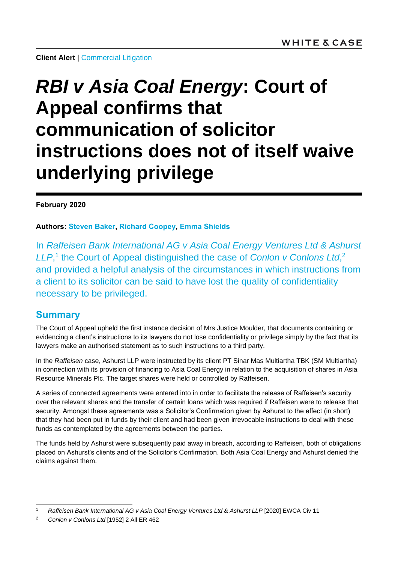**Client Alert | [Commercial Litigation](https://www.whitecase.com/law/practices/commercial-litigation)** 

# *RBI v Asia Coal Energy***: Court of Appeal confirms that communication of solicitor instructions does not of itself waive underlying privilege**

#### **February 2020**

**Authors: [Steven Baker,](https://www.whitecase.com/people/steven-baker) [Richard Coopey,](https://www.whitecase.com/people/richard-coopey) [Emma Shields](mailto:emma.shields@whitecase.com)**

In *Raffeisen Bank International AG v Asia Coal Energy Ventures Ltd & Ashurst*  LLP,<sup>1</sup> the Court of Appeal distinguished the case of *Conlon v Conlons Ltd*,<sup>2</sup> and provided a helpful analysis of the circumstances in which instructions from a client to its solicitor can be said to have lost the quality of confidentiality necessary to be privileged.

### **Summary**

l

The Court of Appeal upheld the first instance decision of Mrs Justice Moulder, that documents containing or evidencing a client's instructions to its lawyers do not lose confidentiality or privilege simply by the fact that its lawyers make an authorised statement as to such instructions to a third party.

In the *Raffeisen* case, Ashurst LLP were instructed by its client PT Sinar Mas Multiartha TBK (SM Multiartha) in connection with its provision of financing to Asia Coal Energy in relation to the acquisition of shares in Asia Resource Minerals Plc. The target shares were held or controlled by Raffeisen.

A series of connected agreements were entered into in order to facilitate the release of Raffeisen's security over the relevant shares and the transfer of certain loans which was required if Raffeisen were to release that security. Amongst these agreements was a Solicitor's Confirmation given by Ashurst to the effect (in short) that they had been put in funds by their client and had been given irrevocable instructions to deal with these funds as contemplated by the agreements between the parties.

The funds held by Ashurst were subsequently paid away in breach, according to Raffeisen, both of obligations placed on Ashurst's clients and of the Solicitor's Confirmation. Both Asia Coal Energy and Ashurst denied the claims against them.

<sup>1</sup> *Raffeisen Bank International AG v Asia Coal Energy Ventures Ltd & Ashurst LLP* [2020] EWCA Civ 11

<sup>2</sup> *Conlon v Conlons Ltd* [1952] 2 All ER 462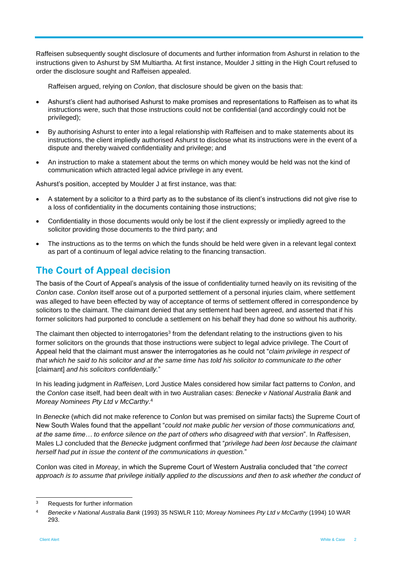Raffeisen subsequently sought disclosure of documents and further information from Ashurst in relation to the instructions given to Ashurst by SM Multiartha. At first instance, Moulder J sitting in the High Court refused to order the disclosure sought and Raffeisen appealed.

Raffeisen argued, relying on *Conlon*, that disclosure should be given on the basis that:

- Ashurst's client had authorised Ashurst to make promises and representations to Raffeisen as to what its instructions were, such that those instructions could not be confidential (and accordingly could not be privileged);
- By authorising Ashurst to enter into a legal relationship with Raffeisen and to make statements about its instructions, the client impliedly authorised Ashurst to disclose what its instructions were in the event of a dispute and thereby waived confidentiality and privilege; and
- An instruction to make a statement about the terms on which money would be held was not the kind of communication which attracted legal advice privilege in any event.

Ashurst's position, accepted by Moulder J at first instance, was that:

- A statement by a solicitor to a third party as to the substance of its client's instructions did not give rise to a loss of confidentiality in the documents containing those instructions;
- Confidentiality in those documents would only be lost if the client expressly or impliedly agreed to the solicitor providing those documents to the third party; and
- The instructions as to the terms on which the funds should be held were given in a relevant legal context as part of a continuum of legal advice relating to the financing transaction.

## **The Court of Appeal decision**

The basis of the Court of Appeal's analysis of the issue of confidentiality turned heavily on its revisiting of the *Conlon* case. *Conlon* itself arose out of a purported settlement of a personal injuries claim, where settlement was alleged to have been effected by way of acceptance of terms of settlement offered in correspondence by solicitors to the claimant. The claimant denied that any settlement had been agreed, and asserted that if his former solicitors had purported to conclude a settlement on his behalf they had done so without his authority.

The claimant then objected to interrogatories<sup>3</sup> from the defendant relating to the instructions given to his former solicitors on the grounds that those instructions were subject to legal advice privilege. The Court of Appeal held that the claimant must answer the interrogatories as he could not "*claim privilege in respect of that which he said to his solicitor and at the same time has told his solicitor to communicate to the other*  [claimant] *and his solicitors confidentially.*"

In his leading judgment in *Raffeisen*, Lord Justice Males considered how similar fact patterns to *Conlon*, and the *Conlon* case itself, had been dealt with in two Australian cases: *Benecke v National Australia Bank* and *Moreay Nominees Pty Ltd v McCarthy*. 4

In *Benecke* (which did not make reference to *Conlon* but was premised on similar facts) the Supreme Court of New South Wales found that the appellant "*could not make public her version of those communications and, at the same time… to enforce silence on the part of others who disagreed with that version*". In *Raffesisen*, Males LJ concluded that the *Benecke* judgment confirmed that "*privilege had been lost because the claimant herself had put in issue the content of the communications in question.*"

Conlon was cited in *Moreay*, in which the Supreme Court of Western Australia concluded that "*the correct approach is to assume that privilege initially applied to the discussions and then to ask whether the conduct of* 

l <sup>3</sup> Requests for further information

<sup>4</sup> *Benecke v National Australia Bank* (1993) 35 NSWLR 110; *Moreay Nominees Pty Ltd v McCarthy* (1994) 10 WAR 293.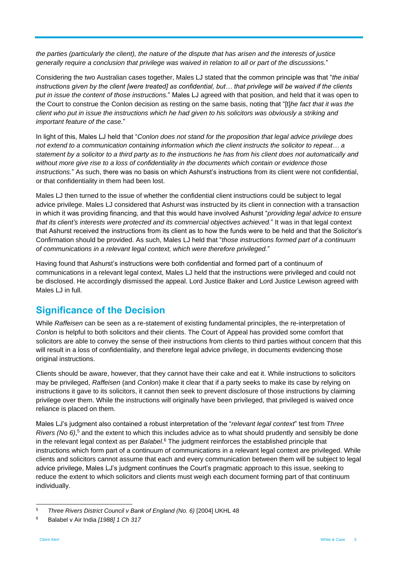*the parties (particularly the client), the nature of the dispute that has arisen and the interests of justice generally require a conclusion that privilege was waived in relation to all or part of the discussions.*"

Considering the two Australian cases together, Males LJ stated that the common principle was that "*the initial instructions given by the client [were treated] as confidential, but… that privilege will be waived if the clients put in issue the content of those instructions.*" Males LJ agreed with that position, and held that it was open to the Court to construe the Conlon decision as resting on the same basis, noting that "[t]*he fact that it was the client who put in issue the instructions which he had given to his solicitors was obviously a striking and important feature of the case.*"

In light of this, Males LJ held that "*Conlon does not stand for the proposition that legal advice privilege does not extend to a communication containing information which the client instructs the solicitor to repeat… a statement by a solicitor to a third party as to the instructions he has from his client does not automatically and without more give rise to a loss of confidentiality in the documents which contain or evidence those instructions.*" As such, there was no basis on which Ashurst's instructions from its client were not confidential, or that confidentiality in them had been lost.

Males LJ then turned to the issue of whether the confidential client instructions could be subject to legal advice privilege. Males LJ considered that Ashurst was instructed by its client in connection with a transaction in which it was providing financing, and that this would have involved Ashurst "*providing legal advice to ensure that its client's interests were protected and its commercial objectives achieved.*" It was in that legal context that Ashurst received the instructions from its client as to how the funds were to be held and that the Solicitor's Confirmation should be provided. As such, Males LJ held that "*those instructions formed part of a continuum of communications in a relevant legal context, which were therefore privileged.*"

Having found that Ashurst's instructions were both confidential and formed part of a continuum of communications in a relevant legal context, Males LJ held that the instructions were privileged and could not be disclosed. He accordingly dismissed the appeal. Lord Justice Baker and Lord Justice Lewison agreed with Males LJ in full.

## **Significance of the Decision**

While *Raffeisen* can be seen as a re-statement of existing fundamental principles, the re-interpretation of *Conlon* is helpful to both solicitors and their clients. The Court of Appeal has provided some comfort that solicitors are able to convey the sense of their instructions from clients to third parties without concern that this will result in a loss of confidentiality, and therefore legal advice privilege, in documents evidencing those original instructions.

Clients should be aware, however, that they cannot have their cake and eat it. While instructions to solicitors may be privileged, *Raffeisen* (and *Conlon*) make it clear that if a party seeks to make its case by relying on instructions it gave to its solicitors, it cannot then seek to prevent disclosure of those instructions by claiming privilege over them. While the instructions will originally have been privileged, that privileged is waived once reliance is placed on them.

Males LJ's judgment also contained a robust interpretation of the "*relevant legal context*" test from *Three Rivers (No 6)*, <sup>5</sup> and the extent to which this includes advice as to what should prudently and sensibly be done in the relevant legal context as per *Balabel*. <sup>6</sup> The judgment reinforces the established principle that instructions which form part of a continuum of communications in a relevant legal context are privileged. While clients and solicitors cannot assume that each and every communication between them will be subject to legal advice privilege, Males LJ's judgment continues the Court's pragmatic approach to this issue, seeking to reduce the extent to which solicitors and clients must weigh each document forming part of that continuum individually.

 $\overline{5}$ <sup>5</sup> *Three Rivers District Council v Bank of England (No. 6)* [2004] UKHL 48

<sup>6</sup> Balabel v Air India *[1988] 1 Ch 317*